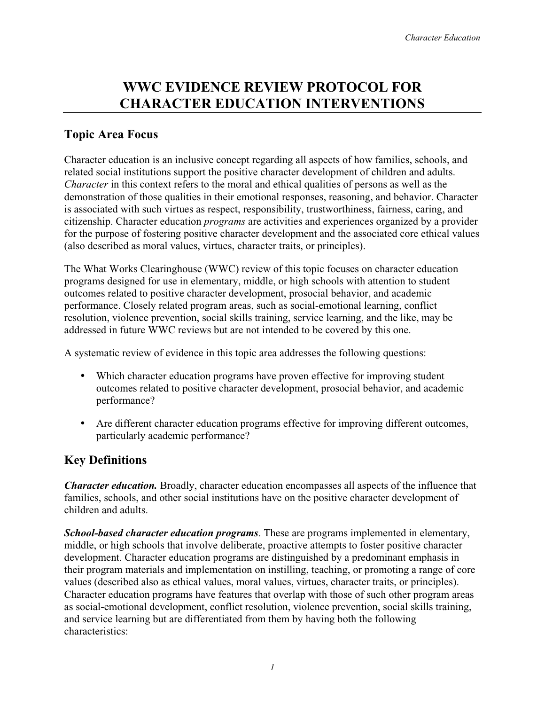# **WWC EVIDENCE REVIEW PROTOCOL FOR CHARACTER EDUCATION INTERVENTIONS**

### **Topic Area Focus**

Character education is an inclusive concept regarding all aspects of how families, schools, and related social institutions support the positive character development of children and adults. *Character* in this context refers to the moral and ethical qualities of persons as well as the demonstration of those qualities in their emotional responses, reasoning, and behavior. Character is associated with such virtues as respect, responsibility, trustworthiness, fairness, caring, and citizenship. Character education *programs* are activities and experiences organized by a provider for the purpose of fostering positive character development and the associated core ethical values (also described as moral values, virtues, character traits, or principles).

The What Works Clearinghouse (WWC) review of this topic focuses on character education programs designed for use in elementary, middle, or high schools with attention to student outcomes related to positive character development, prosocial behavior, and academic performance. Closely related program areas, such as social-emotional learning, conflict resolution, violence prevention, social skills training, service learning, and the like, may be addressed in future WWC reviews but are not intended to be covered by this one.

A systematic review of evidence in this topic area addresses the following questions:

- Which character education programs have proven effective for improving student outcomes related to positive character development, prosocial behavior, and academic performance?
- Are different character education programs effective for improving different outcomes, particularly academic performance?

## **Key Definitions**

*Character education.* Broadly, character education encompasses all aspects of the influence that families, schools, and other social institutions have on the positive character development of children and adults.

*School-based character education programs*. These are programs implemented in elementary, middle, or high schools that involve deliberate, proactive attempts to foster positive character development. Character education programs are distinguished by a predominant emphasis in their program materials and implementation on instilling, teaching, or promoting a range of core values (described also as ethical values, moral values, virtues, character traits, or principles). Character education programs have features that overlap with those of such other program areas as social-emotional development, conflict resolution, violence prevention, social skills training, and service learning but are differentiated from them by having both the following characteristics: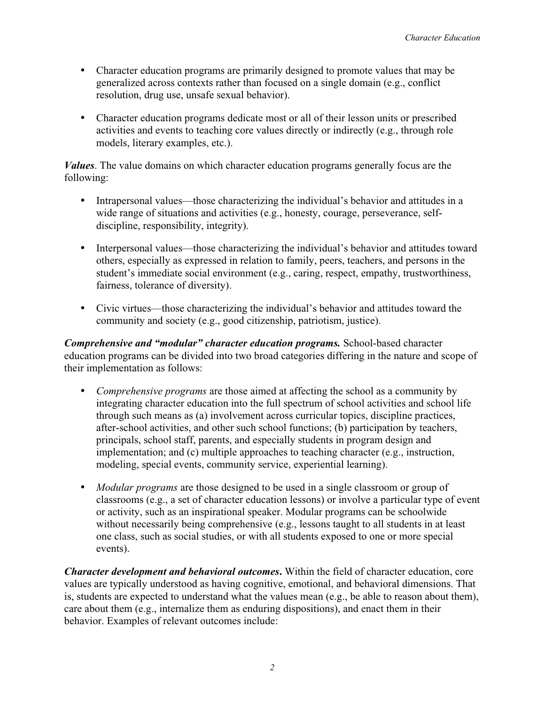- Character education programs are primarily designed to promote values that may be generalized across contexts rather than focused on a single domain (e.g., conflict resolution, drug use, unsafe sexual behavior).
- Character education programs dedicate most or all of their lesson units or prescribed activities and events to teaching core values directly or indirectly (e.g., through role models, literary examples, etc.).

*Values*. The value domains on which character education programs generally focus are the following:

- Intrapersonal values—those characterizing the individual's behavior and attitudes in a wide range of situations and activities (e.g., honesty, courage, perseverance, selfdiscipline, responsibility, integrity).
- Interpersonal values—those characterizing the individual's behavior and attitudes toward others, especially as expressed in relation to family, peers, teachers, and persons in the student's immediate social environment (e.g., caring, respect, empathy, trustworthiness, fairness, tolerance of diversity).
- Civic virtues—those characterizing the individual's behavior and attitudes toward the community and society (e.g., good citizenship, patriotism, justice).

*Comprehensive and "modular" character education programs.* School-based character education programs can be divided into two broad categories differing in the nature and scope of their implementation as follows:

- y*Comprehensive programs* are those aimed at affecting the school as a community by integrating character education into the full spectrum of school activities and school life through such means as (a) involvement across curricular topics, discipline practices, after-school activities, and other such school functions; (b) participation by teachers, principals, school staff, parents, and especially students in program design and implementation; and (c) multiple approaches to teaching character (e.g., instruction, modeling, special events, community service, experiential learning).
- *Modular programs* are those designed to be used in a single classroom or group of classrooms (e.g., a set of character education lessons) or involve a particular type of event or activity, such as an inspirational speaker. Modular programs can be schoolwide without necessarily being comprehensive (e.g., lessons taught to all students in at least one class, such as social studies, or with all students exposed to one or more special events).

*Character development and behavioral outcomes***.** Within the field of character education, core values are typically understood as having cognitive, emotional, and behavioral dimensions. That is, students are expected to understand what the values mean (e.g., be able to reason about them), care about them (e.g., internalize them as enduring dispositions), and enact them in their behavior. Examples of relevant outcomes include: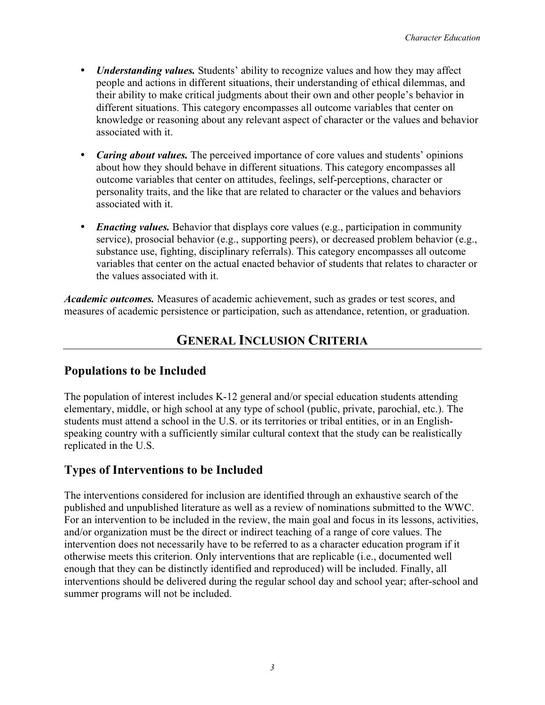- *Understanding values.* Students' ability to recognize values and how they may affect people and actions in different situations, their understanding of ethical dilemmas, and their ability to make critical judgments about their own and other people's behavior in different situations. This category encompasses all outcome variables that center on knowledge or reasoning about any relevant aspect of character or the values and behavior associated with it.
- *Caring about values*. The perceived importance of core values and students' opinions about how they should behave in different situations. This category encompasses all outcome variables that center on attitudes, feelings, self-perceptions, character or personality traits, and the like that are related to character or the values and behaviors associated with it.
- *Enacting values.* Behavior that displays core values (e.g., participation in community service), prosocial behavior (e.g., supporting peers), or decreased problem behavior (e.g., substance use, fighting, disciplinary referrals). This category encompasses all outcome variables that center on the actual enacted behavior of students that relates to character or the values associated with it.

*Academic outcomes.* Measures of academic achievement, such as grades or test scores, and measures of academic persistence or participation, such as attendance, retention, or graduation.

# **GENERAL INCLUSION CRITERIA**

### **Populations to be Included**

The population of interest includes K-12 general and/or special education students attending elementary, middle, or high school at any type of school (public, private, parochial, etc.). The students must attend a school in the U.S. or its territories or tribal entities, or in an Englishspeaking country with a sufficiently similar cultural context that the study can be realistically replicated in the U.S.

### **Types of Interventions to be Included**

The interventions considered for inclusion are identified through an exhaustive search of the published and unpublished literature as well as a review of nominations submitted to the WWC. For an intervention to be included in the review, the main goal and focus in its lessons, activities, and/or organization must be the direct or indirect teaching of a range of core values. The intervention does not necessarily have to be referred to as a character education program if it otherwise meets this criterion. Only interventions that are replicable (i.e., documented well enough that they can be distinctly identified and reproduced) will be included. Finally, all interventions should be delivered during the regular school day and school year; after-school and summer programs will not be included.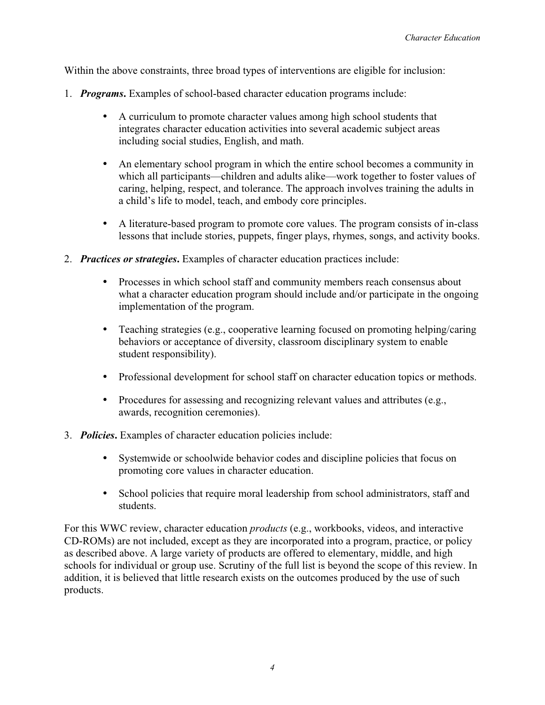Within the above constraints, three broad types of interventions are eligible for inclusion:

- 1. *Programs***.** Examples of school-based character education programs include:
	- A curriculum to promote character values among high school students that integrates character education activities into several academic subject areas including social studies, English, and math.
	- An elementary school program in which the entire school becomes a community in which all participants—children and adults alike—work together to foster values of caring, helping, respect, and tolerance. The approach involves training the adults in a child's life to model, teach, and embody core principles.
	- A literature-based program to promote core values. The program consists of in-class lessons that include stories, puppets, finger plays, rhymes, songs, and activity books.
- 2. *Practices or strategies***.** Examples of character education practices include:
	- Processes in which school staff and community members reach consensus about what a character education program should include and/or participate in the ongoing implementation of the program.
	- Teaching strategies (e.g., cooperative learning focused on promoting helping/caring behaviors or acceptance of diversity, classroom disciplinary system to enable student responsibility).
	- Professional development for school staff on character education topics or methods.
	- Procedures for assessing and recognizing relevant values and attributes (e.g., awards, recognition ceremonies).
- 3. *Policies***.** Examples of character education policies include:
	- Systemwide or schoolwide behavior codes and discipline policies that focus on promoting core values in character education.
	- School policies that require moral leadership from school administrators, staff and students.

For this WWC review, character education *products* (e.g., workbooks, videos, and interactive CD-ROMs) are not included, except as they are incorporated into a program, practice, or policy as described above. A large variety of products are offered to elementary, middle, and high schools for individual or group use. Scrutiny of the full list is beyond the scope of this review. In addition, it is believed that little research exists on the outcomes produced by the use of such products.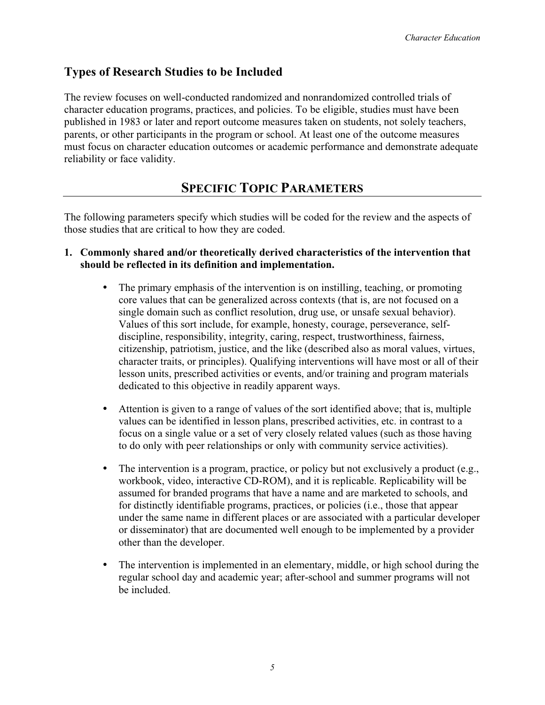### **Types of Research Studies to be Included**

The review focuses on well-conducted randomized and nonrandomized controlled trials of character education programs, practices, and policies. To be eligible, studies must have been published in 1983 or later and report outcome measures taken on students, not solely teachers, parents, or other participants in the program or school. At least one of the outcome measures must focus on character education outcomes or academic performance and demonstrate adequate reliability or face validity.

# **SPECIFIC TOPIC PARAMETERS**

The following parameters specify which studies will be coded for the review and the aspects of those studies that are critical to how they are coded.

#### **1. Commonly shared and/or theoretically derived characteristics of the intervention that should be reflected in its definition and implementation.**

- The primary emphasis of the intervention is on instilling, teaching, or promoting core values that can be generalized across contexts (that is, are not focused on a single domain such as conflict resolution, drug use, or unsafe sexual behavior). Values of this sort include, for example, honesty, courage, perseverance, selfdiscipline, responsibility, integrity, caring, respect, trustworthiness, fairness, citizenship, patriotism, justice, and the like (described also as moral values, virtues, character traits, or principles). Qualifying interventions will have most or all of their lesson units, prescribed activities or events, and/or training and program materials dedicated to this objective in readily apparent ways.
- Attention is given to a range of values of the sort identified above; that is, multiple values can be identified in lesson plans, prescribed activities, etc. in contrast to a focus on a single value or a set of very closely related values (such as those having to do only with peer relationships or only with community service activities).
- $\bullet$  The intervention is a program, practice, or policy but not exclusively a product (e.g., workbook, video, interactive CD-ROM), and it is replicable. Replicability will be assumed for branded programs that have a name and are marketed to schools, and for distinctly identifiable programs, practices, or policies (i.e., those that appear under the same name in different places or are associated with a particular developer or disseminator) that are documented well enough to be implemented by a provider other than the developer.
- The intervention is implemented in an elementary, middle, or high school during the regular school day and academic year; after-school and summer programs will not be included.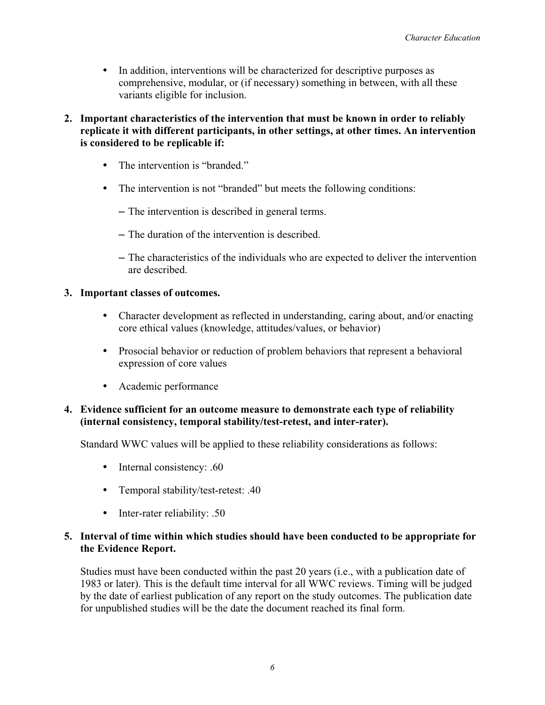- In addition, interventions will be characterized for descriptive purposes as comprehensive, modular, or (if necessary) something in between, with all these variants eligible for inclusion.
- **2. Important characteristics of the intervention that must be known in order to reliably replicate it with different participants, in other settings, at other times. An intervention is considered to be replicable if:**
	- The intervention is "branded."
	- The intervention is not "branded" but meets the following conditions:
		- The intervention is described in general terms.
		- The duration of the intervention is described.
		- The characteristics of the individuals who are expected to deliver the intervention are described.

#### **3. Important classes of outcomes.**

- Character development as reflected in understanding, caring about, and/or enacting core ethical values (knowledge, attitudes/values, or behavior)
- Prosocial behavior or reduction of problem behaviors that represent a behavioral expression of core values
- Academic performance

#### **4. Evidence sufficient for an outcome measure to demonstrate each type of reliability (internal consistency, temporal stability/test-retest, and inter-rater).**

Standard WWC values will be applied to these reliability considerations as follows:

- Internal consistency:  $.60$
- Temporal stability/test-retest: .40
- Inter-rater reliability: .50

#### **5. Interval of time within which studies should have been conducted to be appropriate for the Evidence Report.**

Studies must have been conducted within the past 20 years (i.e., with a publication date of 1983 or later). This is the default time interval for all WWC reviews. Timing will be judged by the date of earliest publication of any report on the study outcomes. The publication date for unpublished studies will be the date the document reached its final form.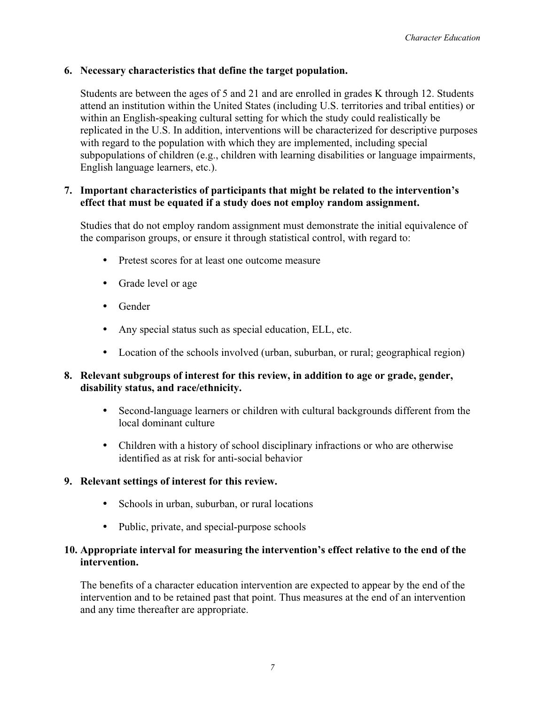#### **6. Necessary characteristics that define the target population.**

Students are between the ages of 5 and 21 and are enrolled in grades K through 12. Students attend an institution within the United States (including U.S. territories and tribal entities) or within an English-speaking cultural setting for which the study could realistically be replicated in the U.S. In addition, interventions will be characterized for descriptive purposes with regard to the population with which they are implemented, including special subpopulations of children (e.g., children with learning disabilities or language impairments, English language learners, etc.).

#### **7. Important characteristics of participants that might be related to the intervention's effect that must be equated if a study does not employ random assignment.**

Studies that do not employ random assignment must demonstrate the initial equivalence of the comparison groups, or ensure it through statistical control, with regard to:

- Pretest scores for at least one outcome measure
- Grade level or age
- $\bullet$  Gender
- Any special status such as special education, ELL, etc.
- Location of the schools involved (urban, suburban, or rural; geographical region)

#### **8. Relevant subgroups of interest for this review, in addition to age or grade, gender, disability status, and race/ethnicity.**

- Second-language learners or children with cultural backgrounds different from the local dominant culture
- Children with a history of school disciplinary infractions or who are otherwise identified as at risk for anti-social behavior

#### **9. Relevant settings of interest for this review.**

- Schools in urban, suburban, or rural locations
- Public, private, and special-purpose schools

#### **10. Appropriate interval for measuring the intervention's effect relative to the end of the intervention.**

The benefits of a character education intervention are expected to appear by the end of the intervention and to be retained past that point. Thus measures at the end of an intervention and any time thereafter are appropriate.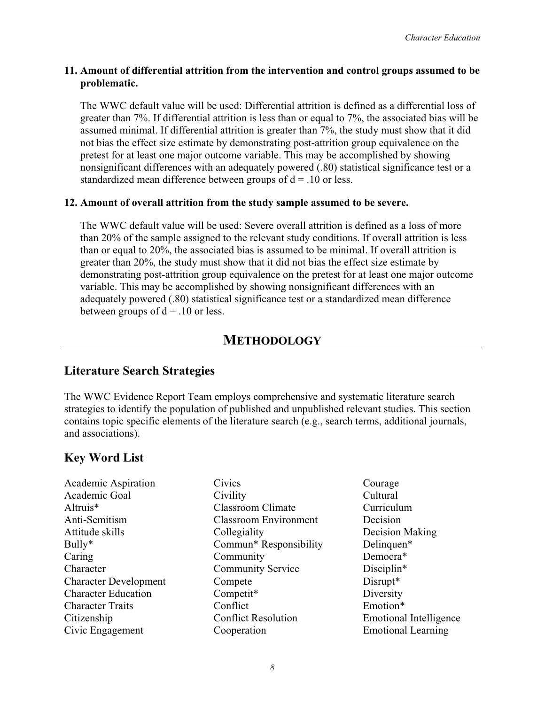#### **11. Amount of differential attrition from the intervention and control groups assumed to be problematic.**

The WWC default value will be used: Differential attrition is defined as a differential loss of greater than 7%. If differential attrition is less than or equal to 7%, the associated bias will be assumed minimal. If differential attrition is greater than 7%, the study must show that it did not bias the effect size estimate by demonstrating post-attrition group equivalence on the pretest for at least one major outcome variable. This may be accomplished by showing nonsignificant differences with an adequately powered (.80) statistical significance test or a standardized mean difference between groups of  $d = .10$  or less.

#### **12. Amount of overall attrition from the study sample assumed to be severe.**

The WWC default value will be used: Severe overall attrition is defined as a loss of more than 20% of the sample assigned to the relevant study conditions. If overall attrition is less than or equal to 20%, the associated bias is assumed to be minimal. If overall attrition is greater than 20%, the study must show that it did not bias the effect size estimate by demonstrating post-attrition group equivalence on the pretest for at least one major outcome variable. This may be accomplished by showing nonsignificant differences with an adequately powered (.80) statistical significance test or a standardized mean difference between groups of  $d = .10$  or less.

### **METHODOLOGY**

### **Literature Search Strategies**

The WWC Evidence Report Team employs comprehensive and systematic literature search strategies to identify the population of published and unpublished relevant studies. This section contains topic specific elements of the literature search (e.g., search terms, additional journals, and associations).

### **Key Word List**

Academic Aspiration Academic Goal Altruis\* Anti-Semitism Attitude skills Bully\* Caring Character Character Development Character Education Character Traits Citizenship Civic Engagement

- **Civics Civility** Classroom Climate Classroom Environment **Collegiality** Commun\* Responsibility Community Community Service Compete Competit\* **Conflict** Conflict Resolution Cooperation
- Courage Cultural Curriculum Decision Decision Making Delinquen\* Democra\* Disciplin\* Disrupt\* Diversity Emotion\* Emotional Intelligence Emotional Learning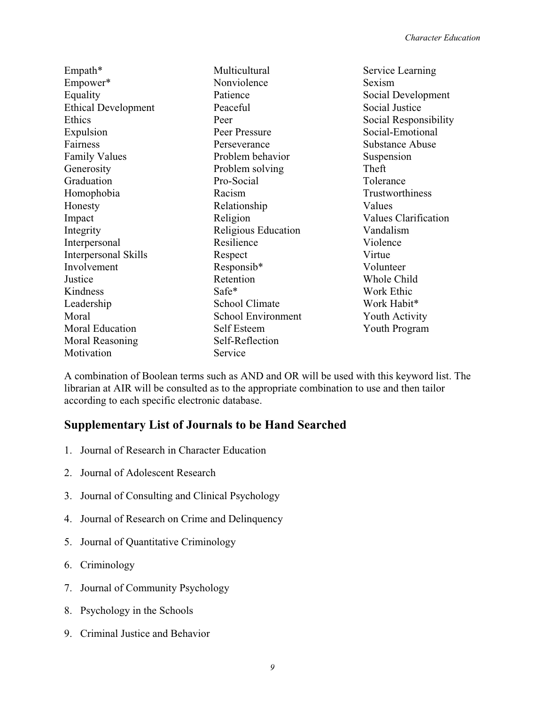| Multicultural         | Service Learning       |
|-----------------------|------------------------|
| Nonviolence           | Sexism                 |
| Patience              | Social Development     |
| Peaceful              | Social Justice         |
| Peer                  | Social Responsibility  |
| Peer Pressure         | Social-Emotional       |
| Perseverance          | <b>Substance Abuse</b> |
| Problem behavior      | Suspension             |
| Problem solving       | Theft                  |
| Pro-Social            | Tolerance              |
| Racism                | Trustworthiness        |
| Relationship          | Values                 |
| Religion              | Values Clarification   |
| Religious Education   | Vandalism              |
| Resilience            | Violence               |
| Respect               | Virtue                 |
| Responsib*            | Volunteer              |
| Retention             | Whole Child            |
| Safe*                 | Work Ethic             |
| <b>School Climate</b> | Work Habit*            |
| School Environment    | Youth Activity         |
| Self Esteem           | Youth Program          |
| Self-Reflection       |                        |
| Service               |                        |
|                       |                        |

A combination of Boolean terms such as AND and OR will be used with this keyword list. The librarian at AIR will be consulted as to the appropriate combination to use and then tailor according to each specific electronic database.

### **Supplementary List of Journals to be Hand Searched**

- 1. Journal of Research in Character Education
- 2. Journal of Adolescent Research
- 3. Journal of Consulting and Clinical Psychology
- 4. Journal of Research on Crime and Delinquency
- 5. Journal of Quantitative Criminology
- 6. Criminology
- 7. Journal of Community Psychology
- 8. Psychology in the Schools
- 9. Criminal Justice and Behavior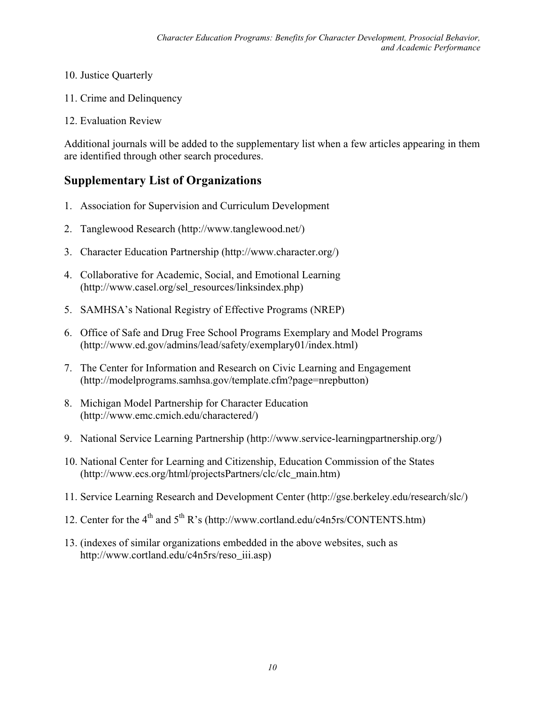- 10. Justice Quarterly
- 11. Crime and Delinquency
- 12. Evaluation Review

Additional journals will be added to the supplementary list when a few articles appearing in them are identified through other search procedures.

### **Supplementary List of Organizations**

- 1. Association for Supervision and Curriculum Development
- 2. Tanglewood Research (http://www.tanglewood.net/)
- 3. Character Education Partnership (http://www.character.org/)
- 4. Collaborative for Academic, Social, and Emotional Learning (http://www.casel.org/sel\_resources/linksindex.php)
- 5. SAMHSA's National Registry of Effective Programs (NREP)
- 6. Office of Safe and Drug Free School Programs Exemplary and Model Programs (http://www.ed.gov/admins/lead/safety/exemplary01/index.html)
- 7. The Center for Information and Research on Civic Learning and Engagement (http://modelprograms.samhsa.gov/template.cfm?page=nrepbutton)
- 8. Michigan Model Partnership for Character Education (http://www.emc.cmich.edu/charactered/)
- 9. National Service Learning Partnership (http://www.service-learningpartnership.org/)
- 10. National Center for Learning and Citizenship, Education Commission of the States (http://www.ecs.org/html/projectsPartners/clc/clc\_main.htm)
- 11. Service Learning Research and Development Center (http://gse.berkeley.edu/research/slc/)
- 12. Center for the  $4<sup>th</sup>$  and  $5<sup>th</sup>$  R's (http://www.cortland.edu/c4n5rs/CONTENTS.htm)
- 13. (indexes of similar organizations embedded in the above websites, such as http://www.cortland.edu/c4n5rs/reso\_iii.asp)